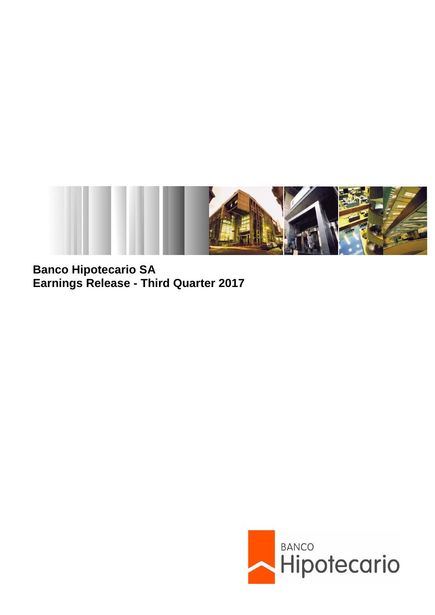

**Banco Hipotecario SA Earnings Release - Third Quarter 2017**

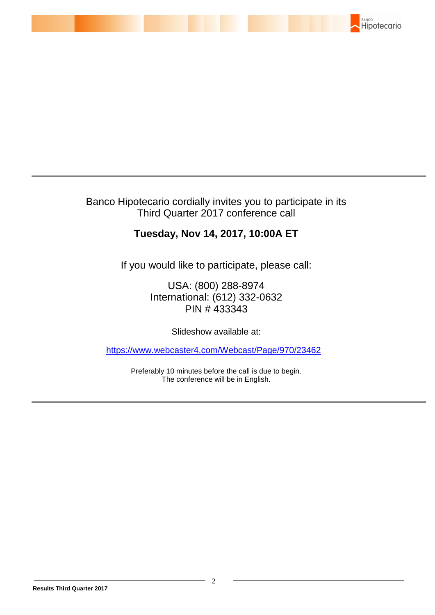

Banco Hipotecario cordially invites you to participate in its Third Quarter 2017 conference call

# **Tuesday, Nov 14, 2017, 10:00A ET**

If you would like to participate, please call:

USA: (800) 288-8974 International: (612) 332-0632 PIN # 433343

Slideshow available at:

<https://www.webcaster4.com/Webcast/Page/970/23462>

Preferably 10 minutes before the call is due to begin. The conference will be in English.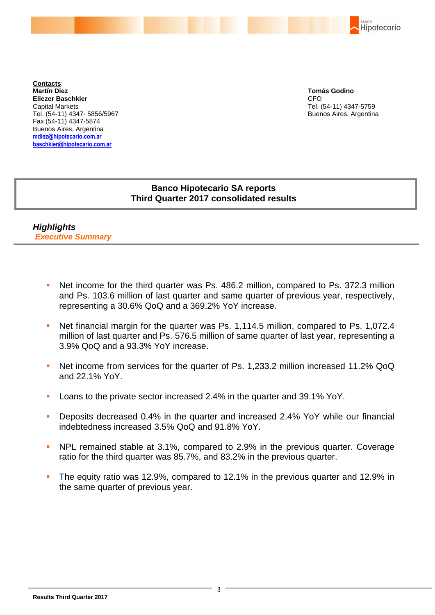**Contacts**: **Martín Diez Eliezer Baschkier** Capital Markets Tel. (54-11) 4347- 5856/5967 Fax (54-11) 4347-5874 Buenos Aires, Argentina **mdiez@hipotecario.com.ar baschkier@hipotecario.com.ar**

**Tomás Godino** CFO Tel. (54-11) 4347-5759 Buenos Aires, Argentina

BANCO

Hipotecario

## **Banco Hipotecario SA reports Third Quarter 2017 consolidated results**

*Highlights Executive Summary*

- Net income for the third quarter was Ps. 486.2 million, compared to Ps. 372.3 million and Ps. 103.6 million of last quarter and same quarter of previous year, respectively, representing a 30.6% QoQ and a 369.2% YoY increase.
- Net financial margin for the quarter was Ps. 1,114.5 million, compared to Ps. 1,072.4 million of last quarter and Ps. 576.5 million of same quarter of last year, representing a 3.9% QoQ and a 93.3% YoY increase.
- Net income from services for the quarter of Ps. 1,233.2 million increased 11.2% QoQ and 22.1% YoY.
- Loans to the private sector increased 2.4% in the quarter and 39.1% YoY.
- **Deposits decreased 0.4% in the quarter and increased 2.4% YoY while our financial** indebtedness increased 3.5% QoQ and 91.8% YoY.
- NPL remained stable at 3.1%, compared to 2.9% in the previous quarter. Coverage ratio for the third quarter was 85.7%, and 83.2% in the previous quarter.
- The equity ratio was 12.9%, compared to 12.1% in the previous quarter and 12.9% in the same quarter of previous year.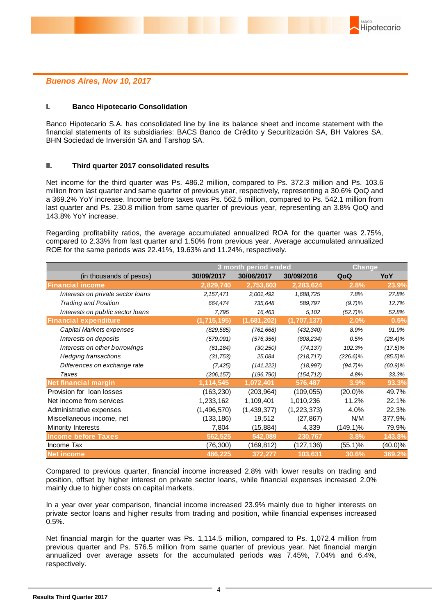### *Buenos Aires, Nov 10, 2017*

### **I. Banco Hipotecario Consolidation**

Banco Hipotecario S.A. has consolidated line by line its balance sheet and income statement with the financial statements of its subsidiaries: BACS Banco de Crédito y Securitización SA, BH Valores SA, BHN Sociedad de Inversión SA and Tarshop SA.

#### **II. Third quarter 2017 consolidated results**

Net income for the third quarter was Ps. 486.2 million, compared to Ps. 372.3 million and Ps. 103.6 million from last quarter and same quarter of previous year, respectively, representing a 30.6% QoQ and a 369.2% YoY increase. Income before taxes was Ps. 562.5 million, compared to Ps. 542.1 million from last quarter and Ps. 230.8 million from same quarter of previous year, representing an 3.8% QoQ and 143.8% YoY increase.

Regarding profitability ratios, the average accumulated annualized ROA for the quarter was 2.75%, compared to 2.33% from last quarter and 1.50% from previous year. Average accumulated annualized ROE for the same periods was 22.41%, 19.63% and 11.24%, respectively.

|                                                                                                                                                                                                                                                                                                                                                                                                                                                                                                                                                                                                                                                                                                                                                                                                         | 3 month period ended<br><b>Change</b> |             |               |             |            |
|---------------------------------------------------------------------------------------------------------------------------------------------------------------------------------------------------------------------------------------------------------------------------------------------------------------------------------------------------------------------------------------------------------------------------------------------------------------------------------------------------------------------------------------------------------------------------------------------------------------------------------------------------------------------------------------------------------------------------------------------------------------------------------------------------------|---------------------------------------|-------------|---------------|-------------|------------|
| (in thousands of pesos)                                                                                                                                                                                                                                                                                                                                                                                                                                                                                                                                                                                                                                                                                                                                                                                 | 30/09/2017                            | 30/06/2017  | 30/09/2016    | QoQ         | YoY        |
| <b>Financial income</b>                                                                                                                                                                                                                                                                                                                                                                                                                                                                                                                                                                                                                                                                                                                                                                                 | 2,829,740                             | 2,753,603   | 2,283,624     | 2.8%        | 23.9%      |
| Interests on private sector loans                                                                                                                                                                                                                                                                                                                                                                                                                                                                                                                                                                                                                                                                                                                                                                       | 2, 157, 471                           | 2,001,492   | 1,688,725     | 7.8%        | 27.8%      |
| <b>Trading and Position</b>                                                                                                                                                                                                                                                                                                                                                                                                                                                                                                                                                                                                                                                                                                                                                                             | 664,474                               | 735,648     | 589,797       | $(9.7)\%$   | 12.7%      |
| Interests on public sector loans                                                                                                                                                                                                                                                                                                                                                                                                                                                                                                                                                                                                                                                                                                                                                                        | 7,795                                 | 16,463      | 5,102         | $(52.7)\%$  | 52.8%      |
| <b>Financial expenditure</b>                                                                                                                                                                                                                                                                                                                                                                                                                                                                                                                                                                                                                                                                                                                                                                            | (1,715,195)                           | (1,681,202) | (1,707,137)   | 2.0%        | 0.5%       |
| Capital Markets expenses                                                                                                                                                                                                                                                                                                                                                                                                                                                                                                                                                                                                                                                                                                                                                                                | (829, 585)                            | (761, 668)  | (432, 340)    | 8.9%        | 91.9%      |
| Interests on deposits                                                                                                                                                                                                                                                                                                                                                                                                                                                                                                                                                                                                                                                                                                                                                                                   | (579,091)                             | (576, 356)  | (808, 234)    | 0.5%        | $(28.4)\%$ |
| Interests on other borrowings                                                                                                                                                                                                                                                                                                                                                                                                                                                                                                                                                                                                                                                                                                                                                                           | (61, 184)                             | (30, 250)   | (74, 137)     | 102.3%      | $(17.5)\%$ |
| <b>Hedging transactions</b>                                                                                                                                                                                                                                                                                                                                                                                                                                                                                                                                                                                                                                                                                                                                                                             | (31, 753)                             | 25,084      | (218, 717)    | $(226.6)\%$ | $(85.5)\%$ |
| Differences on exchange rate                                                                                                                                                                                                                                                                                                                                                                                                                                                                                                                                                                                                                                                                                                                                                                            | (7, 425)                              | (141, 222)  | (18, 997)     | $(94.7)\%$  | $(60.9)\%$ |
| <b>Taxes</b>                                                                                                                                                                                                                                                                                                                                                                                                                                                                                                                                                                                                                                                                                                                                                                                            | (206, 157)                            | (196, 790)  | (154, 712)    | 4.8%        | 33.3%      |
| <b>Net financial margin</b>                                                                                                                                                                                                                                                                                                                                                                                                                                                                                                                                                                                                                                                                                                                                                                             | 1,114,545                             | 1,072,401   | 576,487       | 3.9%        | 93.3%      |
| Provision for loan losses                                                                                                                                                                                                                                                                                                                                                                                                                                                                                                                                                                                                                                                                                                                                                                               | (163, 230)                            | (203, 964)  | (109, 055)    | $(20.0)\%$  | 49.7%      |
| Net income from services                                                                                                                                                                                                                                                                                                                                                                                                                                                                                                                                                                                                                                                                                                                                                                                | 1,233,162                             | 1,109,401   | 1,010,236     | 11.2%       | 22.1%      |
| Administrative expenses                                                                                                                                                                                                                                                                                                                                                                                                                                                                                                                                                                                                                                                                                                                                                                                 | (1, 496, 570)                         | (1,439,377) | (1, 223, 373) | 4.0%        | 22.3%      |
| Miscellaneous income, net                                                                                                                                                                                                                                                                                                                                                                                                                                                                                                                                                                                                                                                                                                                                                                               | (133, 186)                            | 19,512      | (27, 867)     | N/M         | 377.9%     |
| Minority Interests                                                                                                                                                                                                                                                                                                                                                                                                                                                                                                                                                                                                                                                                                                                                                                                      | 7,804                                 | (15, 884)   | 4,339         | $(149.1)\%$ | 79.9%      |
| <b>Income before Taxes</b>                                                                                                                                                                                                                                                                                                                                                                                                                                                                                                                                                                                                                                                                                                                                                                              | 562,525                               | 542,089     | 230,767       | 3.8%        | 143.8%     |
| Income Tax                                                                                                                                                                                                                                                                                                                                                                                                                                                                                                                                                                                                                                                                                                                                                                                              | (76, 300)                             | (169, 812)  | (127, 136)    | (55.1)%     | $(40.0)\%$ |
| <b>Net income</b>                                                                                                                                                                                                                                                                                                                                                                                                                                                                                                                                                                                                                                                                                                                                                                                       | 486,225                               | 372,277     | 103,631       | 30.6%       | 369.2%     |
| Compared to previous quarter, financial income increased 2.8% with lower results on trading and<br>position, offset by higher interest on private sector loans, while financial expenses increased 2.0%<br>mainly due to higher costs on capital markets.<br>In a year over year comparison, financial income increased 23.9% mainly due to higher interests on<br>private sector loans and higher results from trading and position, while financial expenses increased<br>$0.5%$ .<br>Net financial margin for the quarter was Ps. 1,114.5 million, compared to Ps. 1,072.4 million from<br>previous quarter and Ps. 576.5 million from same quarter of previous year. Net financial margin<br>annualized over average assets for the accumulated periods was 7.45%, 7.04% and 6.4%,<br>respectively. |                                       |             |               |             |            |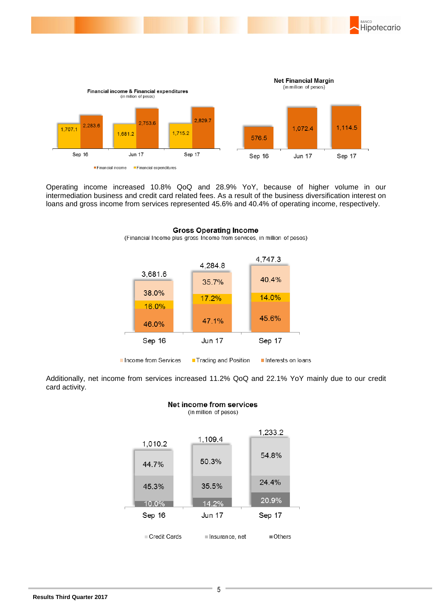

Operating income increased 10.8% QoQ and 28.9% YoY, because of higher volume in our intermediation business and credit card related fees. As a result of the business diversification interest on loans and gross income from services represented 45.6% and 40.4% of operating income, respectively.



#### **Gross Operating Income** (Financial Income plus gross Income from services, in million of pesos)

Additionally, net income from services increased 11.2% QoQ and 22.1% YoY mainly due to our credit card activity.

Net income from services

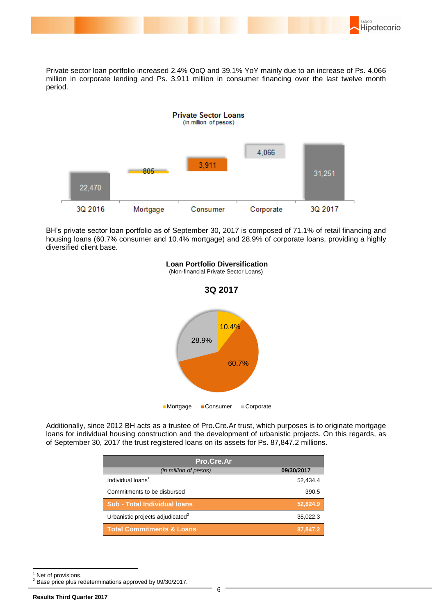

Private sector loan portfolio increased 2.4% QoQ and 39.1% YoY mainly due to an increase of Ps. 4,066 million in corporate lending and Ps. 3,911 million in consumer financing over the last twelve month period.



BH's private sector loan portfolio as of September 30, 2017 is composed of 71.1% of retail financing and housing loans (60.7% consumer and 10.4% mortgage) and 28.9% of corporate loans, providing a highly diversified client base.



**Loan Portfolio Diversification**

(Non-financial Private Sector Loans)

Additionally, since 2012 BH acts as a trustee of Pro.Cre.Ar trust, which purposes is to originate mortgage loans for individual housing construction and the development of urbanistic projects. On this regards, as of September 30, 2017 the trust registered loans on its assets for Ps. 87,847.2 millions.

| Pro.Cre.Ar                                   |            |  |  |  |  |
|----------------------------------------------|------------|--|--|--|--|
| (in million of pesos)                        | 09/30/2017 |  |  |  |  |
| Individual loans <sup>1</sup>                | 52,434.4   |  |  |  |  |
| Commitments to be disbursed                  | 390.5      |  |  |  |  |
| <b>Sub - Total Individual loans</b>          | 52,824.9   |  |  |  |  |
| Urbanistic projects adjudicated <sup>2</sup> | 35,022.3   |  |  |  |  |
| <b>Total Commitments &amp; Loans</b>         | 87,847.2   |  |  |  |  |

1

 $<sup>1</sup>$  Net of provisions.</sup>

Base price plus redeterminations approved by 09/30/2017.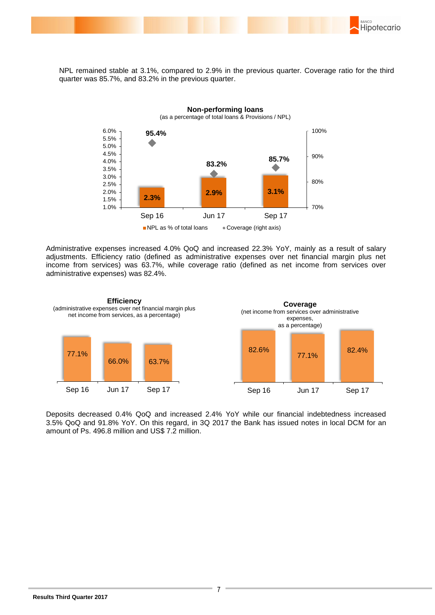

NPL remained stable at 3.1%, compared to 2.9% in the previous quarter. Coverage ratio for the third quarter was 85.7%, and 83.2% in the previous quarter.



Administrative expenses increased 4.0% QoQ and increased 22.3% YoY, mainly as a result of salary adjustments. Efficiency ratio (defined as administrative expenses over net financial margin plus net income from services) was 63.7%, while coverage ratio (defined as net income from services over administrative expenses) was 82.4%.



Deposits decreased 0.4% QoQ and increased 2.4% YoY while our financial indebtedness increased 3.5% QoQ and 91.8% YoY. On this regard, in 3Q 2017 the Bank has issued notes in local DCM for an amount of Ps. 496.8 million and US\$ 7.2 million.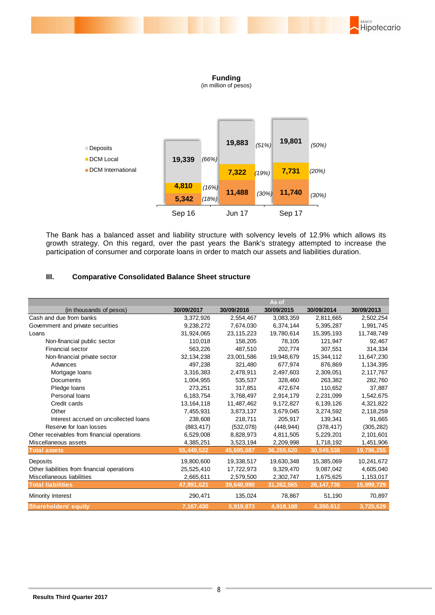

**Funding**

(in million of pesos)



The Bank has a balanced asset and liability structure with solvency levels of 12.9% which allows its growth strategy. On this regard, over the past years the Bank's strategy attempted to increase the participation of consumer and corporate loans in order to match our assets and liabilities duration.

### **III. Comparative Consolidated Balance Sheet structure**

|                                             | As of        |              |            |              |            |
|---------------------------------------------|--------------|--------------|------------|--------------|------------|
| (in thousands of pesos)                     | 30/09/2017   | 30/09/2016   | 30/09/2015 | 30/09/2014   | 30/09/2013 |
| Cash and due from banks                     | 3,372,926    | 2,554,467    | 3,083,359  | 2,811,665    | 2,502,254  |
| Government and private securities           | 9,238,272    | 7,674,030    | 6,374,144  | 5,395,287    | 1,991,745  |
| Loans                                       | 31,924,065   | 23, 115, 223 | 19,780,614 | 15,395,193   | 11,748,749 |
| Non-financial public sector                 | 110,018      | 158,205      | 78,105     | 121,947      | 92,467     |
| <b>Financial sector</b>                     | 563,226      | 487,510      | 202,774    | 307,551      | 314,334    |
| Non-financial private sector                | 32, 134, 238 | 23,001,586   | 19,948,679 | 15,344,112   | 11,647,230 |
| Advances                                    | 497,238      | 321,480      | 677,974    | 876,869      | 1,134,395  |
| Mortgage loans                              | 3,316,383    | 2,478,911    | 2,497,603  | 2,309,051    | 2,117,767  |
| <b>Documents</b>                            | 1,004,955    | 535,537      | 328,460    | 263,382      | 282,760    |
| Pledge loans                                | 273,251      | 317,851      | 472,674    | 110,652      | 37,887     |
| Personal loans                              | 6,183,754    | 3,768,497    | 2,914,179  | 2,231,099    | 1,542,675  |
| Credit cards                                | 13, 164, 118 | 11,487,462   | 9,172,827  | 6,139,126    | 4,321,822  |
| Other                                       | 7,455,931    | 3,873,137    | 3,679,045  | 3,274,592    | 2,118,259  |
| Interest accrued on uncollected loans       | 238,608      | 218,711      | 205,917    | 139,341      | 91,665     |
| Reserve for loan losses                     | (883, 417)   | (532,078)    | (448, 944) | (378, 417)   | (305, 282) |
| Other receivables from financial operations | 6,529,008    | 8,828,973    | 4,811,505  | 5,229,201    | 2,101,601  |
| Miscellaneous assets                        | 4,385,251    | 3,523,194    | 2,209,998  | 1,718,192    | 1,451,906  |
| <b>Total assets</b>                         | 55,449,522   | 45,695,887   | 36,259,620 | 30,549,538   | 19,796,255 |
| Deposits                                    | 19,800,600   | 19,338,517   | 19,630,348 | 15,385,069   | 10,241,672 |
| Other liabilities from financial operations | 25,525,410   | 17,722,973   | 9,329,470  | 9,087,042    | 4,605,040  |
| Miscellaneous liabilities                   | 2,665,611    | 2,579,500    | 2,302,747  | 1,675,625    | 1,153,017  |
| <b>Total liabilities</b>                    | 47,991,621   | 39,640,990   | 31,262,565 | 26, 147, 736 | 15,999,729 |
| Minority Interest                           | 290,471      | 135,024      | 78,867     | 51,190       | 70,897     |
| <b>Shareholders' equity</b>                 | 7,167,430    | 5,919,873    | 4,918,188  | 4,350,612    | 3,725,629  |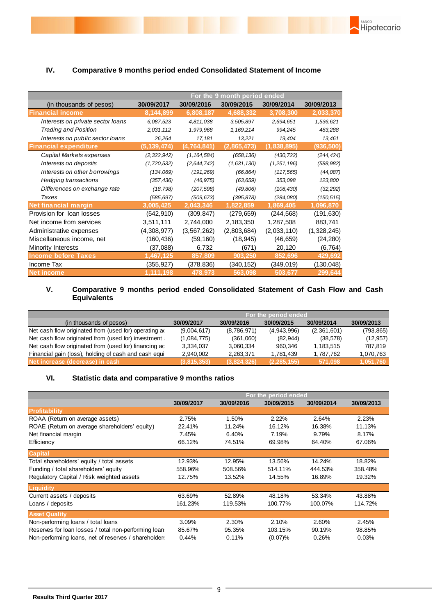

### **IV. Comparative 9 months period ended Consolidated Statement of Income**

|                                   | For the 9 month period ended |               |             |               |             |  |
|-----------------------------------|------------------------------|---------------|-------------|---------------|-------------|--|
| (in thousands of pesos)           | 30/09/2017                   | 30/09/2016    | 30/09/2015  | 30/09/2014    | 30/09/2013  |  |
| <b>Financial income</b>           | 8,144,899                    | 6,808,187     | 4,688,332   | 3,708,300     | 2,033,370   |  |
| Interests on private sector loans | 6,087,523                    | 4,811,038     | 3,505,897   | 2,694,651     | 1,536,621   |  |
| <b>Trading and Position</b>       | 2,031,112                    | 1,979,968     | 1,169,214   | 994,245       | 483,288     |  |
| Interests on public sector loans  | 26,264                       | 17,181        | 13,221      | 19,404        | 13,461      |  |
| <b>Financial expenditure</b>      | (5,139,474)                  | (4,764,841)   | (2,865,473) | (1, 838, 895) | (936,500)   |  |
| Capital Markets expenses          | (2,322,942)                  | (1, 164, 584) | (658, 136)  | (430, 722)    | (244, 424)  |  |
| Interests on deposits             | (1,720,532)                  | (2,644,742)   | (1,631,130) | (1,251,196)   | (588, 982)  |  |
| Interests on other borrowings     | (134,069)                    | (191, 269)    | (66, 864)   | (117, 565)    | (44,087)    |  |
| Hedging transactions              | (357, 436)                   | (46, 975)     | (63, 659)   | 353,098       | 123,800     |  |
| Differences on exchange rate      | (18, 798)                    | (207, 598)    | (49, 806)   | (108, 430)    | (32, 292)   |  |
| Taxes                             | (585, 697)                   | (509, 673)    | (395, 878)  | (284,080)     | (150,515)   |  |
| <b>Net financial margin</b>       | 3,005,425                    | 2,043,346     | 1,822,859   | 1,869,405     | 1,096,870   |  |
| Provision for loan losses         | (542, 910)                   | (309, 847)    | (279, 659)  | (244, 568)    | (191, 630)  |  |
| Net income from services          | 3,511,111                    | 2,744,000     | 2,183,350   | 1,287,508     | 883,741     |  |
| Administrative expenses           | (4,308,977)                  | (3, 567, 262) | (2,803,684) | (2,033,110)   | (1,328,245) |  |
| Miscellaneous income, net         | (160, 436)                   | (59, 160)     | (18, 945)   | (46, 659)     | (24, 280)   |  |
| Minority Interests                | (37,088)                     | 6,732         | (671)       | 20,120        | (6, 764)    |  |
| <b>Income before Taxes</b>        | 1,467,125                    | 857,809       | 903,250     | 852,696       | 429,692     |  |
| Income Tax                        | (355,927)                    | (378,836)     | (340, 152)  | (349,019)     | (130,048)   |  |
| <b>Net income</b>                 | 1,111,198                    | 478,973       | 563,098     | 503,677       | 299,644     |  |

### **V. Comparative 9 months period ended Consolidated Statement of Cash Flow and Cash Equivalents**

|                                                       | For the period ended |             |               |             |            |
|-------------------------------------------------------|----------------------|-------------|---------------|-------------|------------|
| (in thousands of pesos)                               | 30/09/2017           | 30/09/2016  | 30/09/2015    | 30/09/2014  | 30/09/2013 |
| Net cash flow originated from (used for) operating ac | (9,004,617)          | (8,786,971) | (4,943,996)   | (2,361,601) | (793, 865) |
| Net cash flow originated from (used for) investment   | (1,084,775)          | (361,060)   | (82, 944)     | (38, 578)   | (12, 957)  |
| Net cash flow originated from (used for) financing ac | 3,334,037            | 3,060,334   | 960.346       | 1,183,515   | 787.819    |
| Financial gain (loss), holding of cash and cash equi  | 2.940.002            | 2,263,371   | 1.781.439     | 1,787,762   | 1,070,763  |
| Net increase (decrease) in cash                       | (3,815,353)          | (3,824,326) | (2, 285, 155) | 571.098     | 1,051,760  |

### **VI. Statistic data and comparative 9 months ratios**

|                                                      | For the period ended |            |            |            |            |
|------------------------------------------------------|----------------------|------------|------------|------------|------------|
|                                                      | 30/09/2017           | 30/09/2016 | 30/09/2015 | 30/09/2014 | 30/09/2013 |
| <b>Profitability</b>                                 |                      |            |            |            |            |
| ROAA (Return on average assets)                      | 2.75%                | 1.50%      | 2.22%      | 2.64%      | 2.23%      |
| ROAE (Return on average shareholders' equity)        | 22.41%               | 11.24%     | 16.12%     | 16.38%     | 11.13%     |
| Net financial margin                                 | 7.45%                | 6.40%      | 7.19%      | 9.79%      | 8.17%      |
| Efficiency                                           | 66.12%               | 74.51%     | 69.98%     | 64.40%     | 67.06%     |
| <b>Capital</b>                                       |                      |            |            |            |            |
| Total shareholders' equity / total assets            | 12.93%               | 12.95%     | 13.56%     | 14.24%     | 18.82%     |
| Funding / total shareholders' equity                 | 558.96%              | 508.56%    | 514.11%    | 444.53%    | 358.48%    |
| Regulatory Capital / Risk weighted assets            | 12.75%               | 13.52%     | 14.55%     | 16.89%     | 19.32%     |
| Liquidity                                            |                      |            |            |            |            |
| Current assets / deposits                            | 63.69%               | 52.89%     | 48.18%     | 53.34%     | 43.88%     |
| Loans / deposits                                     | 161.23%              | 119.53%    | 100.77%    | 100.07%    | 114.72%    |
| <b>Asset Quality</b>                                 |                      |            |            |            |            |
| Non-performing loans / total loans                   | 3.09%                | 2.30%      | 2.10%      | 2.60%      | 2.45%      |
| Reserves for loan losses / total non-performing loan | 85.67%               | 95.35%     | 103.15%    | 90.19%     | 98.85%     |
| Non-performing loans, net of reserves / shareholders | 0.44%                | 0.11%      | (0.07)%    | 0.26%      | 0.03%      |